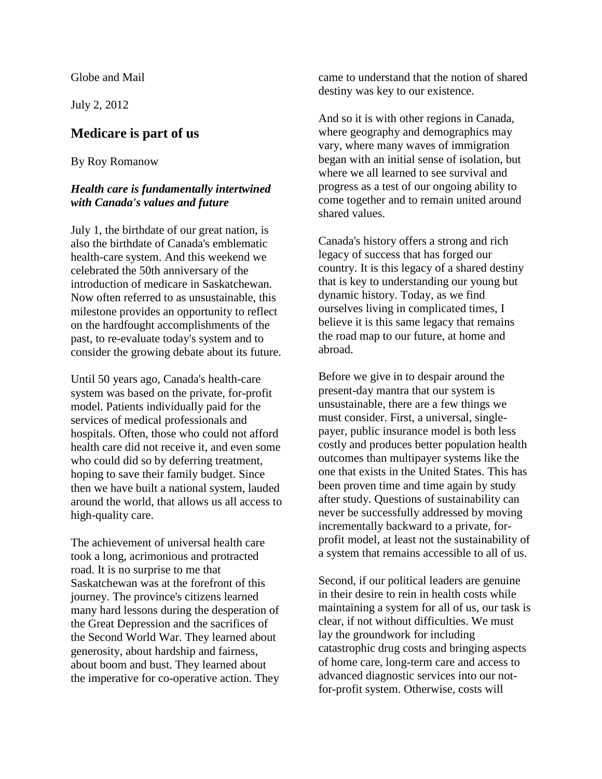Globe and Mail

July 2, 2012

## **Medicare is part of us**

## By Roy Romanow

## *Health care is fundamentally intertwined with Canada's values and future*

July 1, the birthdate of our great nation, is also the birthdate of Canada's emblematic health-care system. And this weekend we celebrated the 50th anniversary of the introduction of medicare in Saskatchewan. Now often referred to as unsustainable, this milestone provides an opportunity to reflect on the hardfought accomplishments of the past, to re-evaluate today's system and to consider the growing debate about its future.

Until 50 years ago, Canada's health-care system was based on the private, for-profit model. Patients individually paid for the services of medical professionals and hospitals. Often, those who could not afford health care did not receive it, and even some who could did so by deferring treatment, hoping to save their family budget. Since then we have built a national system, lauded around the world, that allows us all access to high-quality care.

The achievement of universal health care took a long, acrimonious and protracted road. It is no surprise to me that Saskatchewan was at the forefront of this journey. The province's citizens learned many hard lessons during the desperation of the Great Depression and the sacrifices of the Second World War. They learned about generosity, about hardship and fairness, about boom and bust. They learned about the imperative for co-operative action. They came to understand that the notion of shared destiny was key to our existence.

And so it is with other regions in Canada, where geography and demographics may vary, where many waves of immigration began with an initial sense of isolation, but where we all learned to see survival and progress as a test of our ongoing ability to come together and to remain united around shared values.

Canada's history offers a strong and rich legacy of success that has forged our country. It is this legacy of a shared destiny that is key to understanding our young but dynamic history. Today, as we find ourselves living in complicated times, I believe it is this same legacy that remains the road map to our future, at home and abroad.

Before we give in to despair around the present-day mantra that our system is unsustainable, there are a few things we must consider. First, a universal, singlepayer, public insurance model is both less costly and produces better population health outcomes than multipayer systems like the one that exists in the United States. This has been proven time and time again by study after study. Questions of sustainability can never be successfully addressed by moving incrementally backward to a private, forprofit model, at least not the sustainability of a system that remains accessible to all of us.

Second, if our political leaders are genuine in their desire to rein in health costs while maintaining a system for all of us, our task is clear, if not without difficulties. We must lay the groundwork for including catastrophic drug costs and bringing aspects of home care, long-term care and access to advanced diagnostic services into our notfor-profit system. Otherwise, costs will